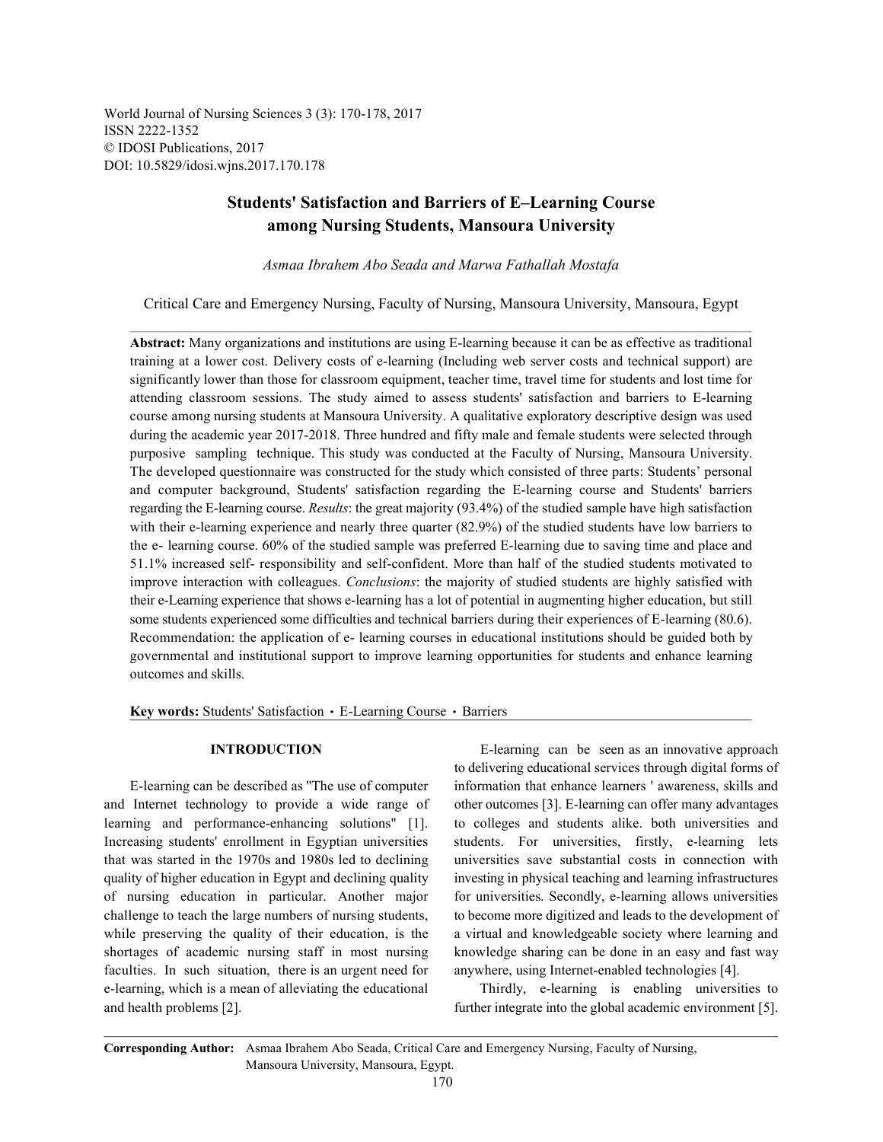World Journal of Nursing Sciences 3 (3): 170-178, 2017 ISSN 2222-1352 © IDOSI Publications, 2017 DOI: 10.5829/idosi.wjns.2017.170.178

# **Students' Satisfaction and Barriers of E–Learning Course among Nursing Students, Mansoura University**

*Asmaa Ibrahem Abo Seada and Marwa Fathallah Mostafa*

Critical Care and Emergency Nursing, Faculty of Nursing, Mansoura University, Mansoura, Egypt

**Abstract:** Many organizations and institutions are using E-learning because it can be as effective as traditional training at a lower cost. Delivery costs of e-learning (Including web server costs and technical support) are significantly lower than those for classroom equipment, teacher time, travel time for students and lost time for attending classroom sessions. The study aimed to assess students' satisfaction and barriers to E-learning course among nursing students at Mansoura University. A qualitative exploratory descriptive design was used during the academic year 2017-2018. Three hundred and fifty male and female students were selected through purposive sampling technique. This study was conducted at the Faculty of Nursing, Mansoura University. The developed questionnaire was constructed for the study which consisted of three parts: Students' personal and computer background, Students' satisfaction regarding the E-learning course and Students' barriers regarding the E-learning course. *Results*: the great majority (93.4%) of the studied sample have high satisfaction with their e-learning experience and nearly three quarter (82.9%) of the studied students have low barriers to the e- learning course. 60% of the studied sample was preferred E-learning due to saving time and place and 51.1% increased self- responsibility and self-confident. More than half of the studied students motivated to improve interaction with colleagues. *Conclusions*: the majority of studied students are highly satisfied with their e-Learning experience that shows e-learning has a lot of potential in augmenting higher education, but still some students experienced some difficulties and technical barriers during their experiences of E-learning (80.6). Recommendation: the application of e- learning courses in educational institutions should be guided both by governmental and institutional support to improve learning opportunities for students and enhance learning outcomes and skills.

Key words: Students' Satisfaction · E-Learning Course · Barriers

and Internet technology to provide a wide range of other outcomes [3]. E-learning can offer many advantages learning and performance-enhancing solutions" [1]. to colleges and students alike. both universities and Increasing students' enrollment in Egyptian universities students. For universities, firstly, e-learning lets that was started in the 1970s and 1980s led to declining universities save substantial costs in connection with quality of higher education in Egypt and declining quality investing in physical teaching and learning infrastructures of nursing education in particular. Another major for universities. Secondly, e-learning allows universities challenge to teach the large numbers of nursing students, to become more digitized and leads to the development of while preserving the quality of their education, is the a virtual and knowledgeable society where learning and shortages of academic nursing staff in most nursing knowledge sharing can be done in an easy and fast way faculties. In such situation, there is an urgent need for anywhere, using Internet-enabled technologies [4]. e-learning, which is a mean of alleviating the educational Thirdly, e-learning is enabling universities to and health problems [2]. further integrate into the global academic environment [5].

**INTRODUCTION** E-learning can be seen as an innovative approach E-learning can be described as ''The use of computer information that enhance learners ' awareness, skills and to delivering educational services through digital forms of

**Corresponding Author:** Asmaa Ibrahem Abo Seada, Critical Care and Emergency Nursing, Faculty of Nursing, Mansoura University, Mansoura, Egypt.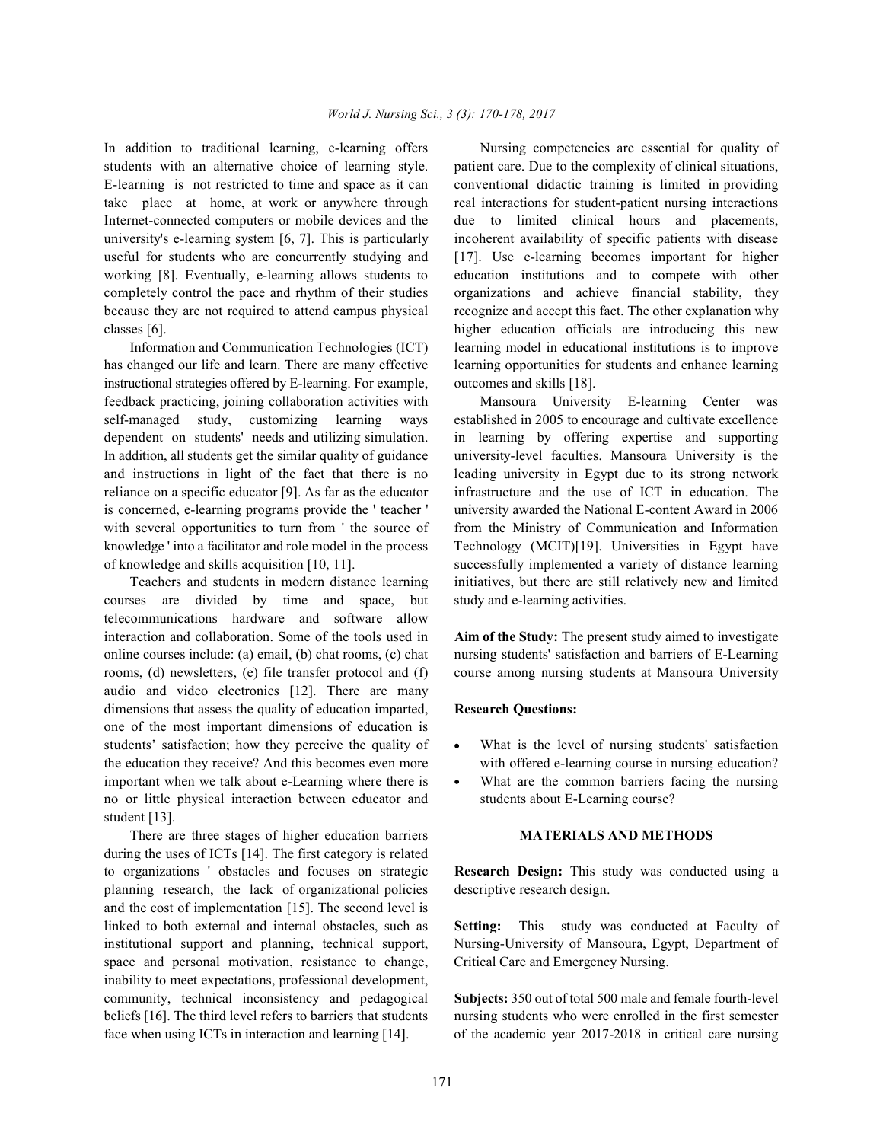students with an alternative choice of learning style. patient care. Due to the complexity of clinical situations, E-learning is not restricted to time and space as it can conventional didactic training is limited in providing take place at home, at work or anywhere through real interactions for student-patient nursing interactions Internet-connected computers or mobile devices and the due to limited clinical hours and placements, university's e-learning system [6, 7]. This is particularly incoherent availability of specific patients with disease useful for students who are concurrently studying and [17]. Use e-learning becomes important for higher working [8]. Eventually, e-learning allows students to education institutions and to compete with other completely control the pace and rhythm of their studies organizations and achieve financial stability, they because they are not required to attend campus physical recognize and accept this fact. The other explanation why classes [6]. higher education officials are introducing this new

has changed our life and learn. There are many effective learning opportunities for students and enhance learning instructional strategies offered by E-learning. For example, outcomes and skills [18]. feedback practicing, joining collaboration activities with Mansoura University E-learning Center was self-managed study, customizing learning ways established in 2005 to encourage and cultivate excellence dependent on students' needs and utilizing simulation. in learning by offering expertise and supporting In addition, all students get the similar quality of guidance university-level faculties. Mansoura University is the and instructions in light of the fact that there is no leading university in Egypt due to its strong network reliance on a specific educator [9]. As far as the educator infrastructure and the use of ICT in education. The is concerned, e-learning programs provide the ' teacher ' university awarded the National E-content Award in 2006 with several opportunities to turn from ' the source of from the Ministry of Communication and Information knowledge ' into a facilitator and role model in the process Technology (MCIT)[19]. Universities in Egypt have of knowledge and skills acquisition [10, 11]. successfully implemented a variety of distance learning

courses are divided by time and space, but study and e-learning activities. telecommunications hardware and software allow interaction and collaboration. Some of the tools used in **Aim of the Study:** The present study aimed to investigate online courses include: (a) email, (b) chat rooms, (c) chat nursing students' satisfaction and barriers of E-Learning rooms, (d) newsletters, (e) file transfer protocol and (f) course among nursing students at Mansoura University audio and video electronics [12]. There are many dimensions that assess the quality of education imparted, **Research Questions:** one of the most important dimensions of education is students' satisfaction; how they perceive the quality of • What is the level of nursing students' satisfaction the education they receive? And this becomes even more with offered e-learning course in nursing education? important when we talk about e-Learning where there is • What are the common barriers facing the nursing no or little physical interaction between educator and students about E-Learning course? student [13].

There are three stages of higher education barriers **MATERIALS AND METHODS** during the uses of ICTs [14]. The first category is related to organizations ' obstacles and focuses on strategic **Research Design:** This study was conducted using a planning research, the lack of organizational policies descriptive research design. and the cost of implementation [15]. The second level is linked to both external and internal obstacles, such as **Setting:** This study was conducted at Faculty of institutional support and planning, technical support, Nursing-University of Mansoura, Egypt, Department of space and personal motivation, resistance to change, Critical Care and Emergency Nursing. inability to meet expectations, professional development, community, technical inconsistency and pedagogical **Subjects:** 350 out of total 500 male and female fourth-level beliefs [16]. The third level refers to barriers that students nursing students who were enrolled in the first semester face when using ICTs in interaction and learning [14]. of the academic year 2017-2018 in critical care nursing

In addition to traditional learning, e-learning offers Nursing competencies are essential for quality of Information and Communication Technologies (ICT) learning model in educational institutions is to improve

Teachers and students in modern distance learning initiatives, but there are still relatively new and limited

- 
-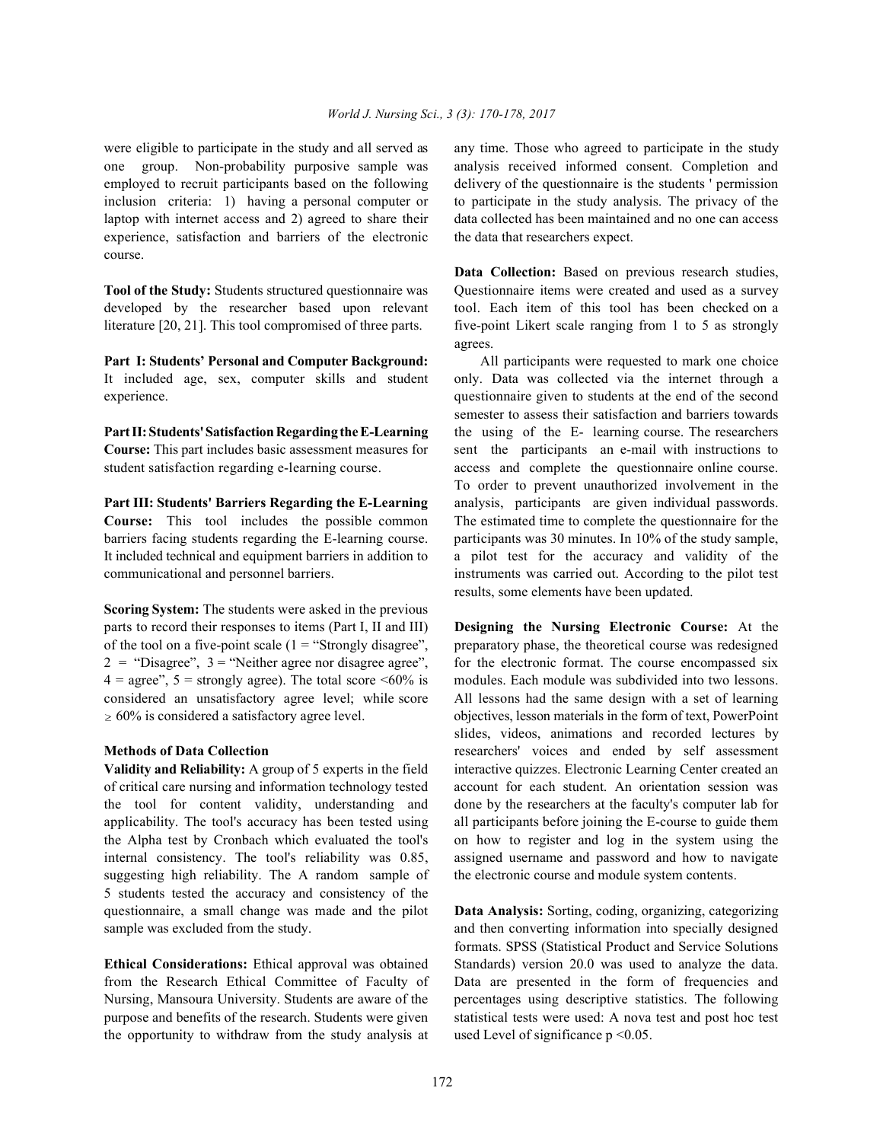one group. Non-probability purposive sample was analysis received informed consent. Completion and employed to recruit participants based on the following delivery of the questionnaire is the students ' permission inclusion criteria: 1) having a personal computer or to participate in the study analysis. The privacy of the laptop with internet access and 2) agreed to share their data collected has been maintained and no one can access experience, satisfaction and barriers of the electronic the data that researchers expect. course.

developed by the researcher based upon relevant tool. Each item of this tool has been checked on a literature [20, 21]. This tool compromised of three parts. five-point Likert scale ranging from 1 to 5 as strongly

**Part I: Students' Personal and Computer Background:** All participants were requested to mark one choice It included age, sex, computer skills and student only. Data was collected via the internet through a experience. questionnaire given to students at the end of the second

**Course:** This part includes basic assessment measures for sent the participants an e-mail with instructions to student satisfaction regarding e-learning course. access and complete the questionnaire online course.

**Course:** This tool includes the possible common The estimated time to complete the questionnaire for the barriers facing students regarding the E-learning course. participants was 30 minutes. In 10% of the study sample, It included technical and equipment barriers in addition to a pilot test for the accuracy and validity of the communicational and personnel barriers. instruments was carried out. According to the pilot test

**Scoring System:** The students were asked in the previous parts to record their responses to items (Part I, II and III) **Designing the Nursing Electronic Course:** At the of the tool on a five-point scale  $(1 = "Strongly disagree",$  preparatory phase, the theoretical course was redesigned  $2 =$  "Disagree",  $3 =$  "Neither agree nor disagree agree", for the electronic format. The course encompassed six  $4 = \text{agree}^3$ ,  $5 = \text{strongly agree}$ ). The total score <60% is modules. Each module was subdivided into two lessons. considered an unsatisfactory agree level; while score All lessons had the same design with a set of learning  $\geq 60\%$  is considered a satisfactory agree level. objectives, lesson materials in the form of text, PowerPoint

of critical care nursing and information technology tested account for each student. An orientation session was the tool for content validity, understanding and done by the researchers at the faculty's computer lab for applicability. The tool's accuracy has been tested using all participants before joining the E-course to guide them the Alpha test by Cronbach which evaluated the tool's on how to register and log in the system using the internal consistency. The tool's reliability was 0.85, assigned username and password and how to navigate suggesting high reliability. The A random sample of the electronic course and module system contents. 5 students tested the accuracy and consistency of the questionnaire, a small change was made and the pilot **Data Analysis:** Sorting, coding, organizing, categorizing sample was excluded from the study.  $\blacksquare$  and then converting information into specially designed

from the Research Ethical Committee of Faculty of Data are presented in the form of frequencies and Nursing, Mansoura University. Students are aware of the percentages using descriptive statistics. The following purpose and benefits of the research. Students were given statistical tests were used: A nova test and post hoc test the opportunity to withdraw from the study analysis at used Level of significance  $p \le 0.05$ .

were eligible to participate in the study and all served as any time. Those who agreed to participate in the study

**Tool of the Study:** Students structured questionnaire was Ouestionnaire items were created and used as a survey **Data Collection:** Based on previous research studies, agrees.

**Part II: Students'Satisfaction Regarding the E-Learning** the using of the E- learning course. The researchers **Part III: Students' Barriers Regarding the E-Learning** analysis, participants are given individual passwords. semester to assess their satisfaction and barriers towards To order to prevent unauthorized involvement in the results, some elements have been updated.

**Methods of Data Collection researchers'** voices and ended by self assessment **Validity and Reliability:** A group of 5 experts in the field interactive quizzes. Electronic Learning Center created an slides, videos, animations and recorded lectures by

**Ethical Considerations:** Ethical approval was obtained Standards) version 20.0 was used to analyze the data. formats. SPSS (Statistical Product and Service Solutions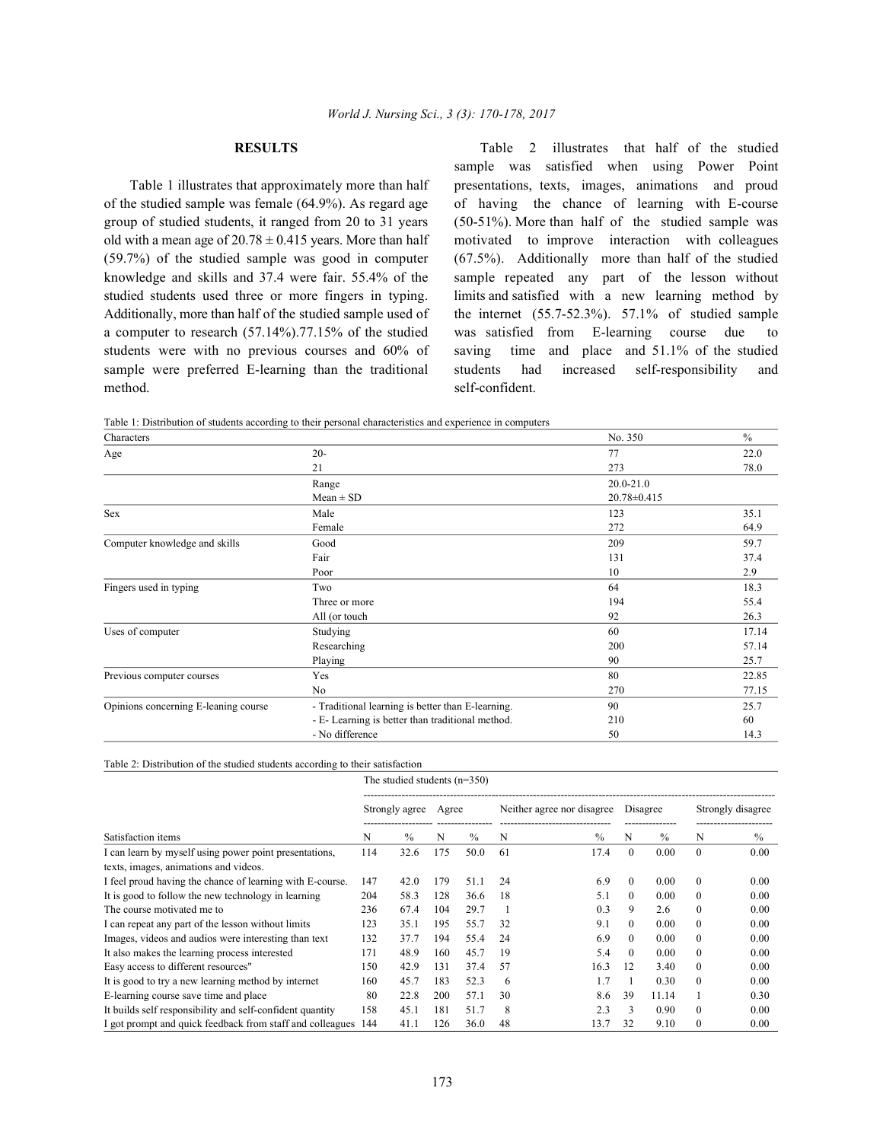method. self-confident.

**RESULTS** Table 2 illustrates that half of the studied Table 1 illustrates that approximately more than half presentations, texts, images, animations and proud of the studied sample was female (64.9%). As regard age of having the chance of learning with E-course group of studied students, it ranged from 20 to 31 years (50-51%). More than half of the studied sample was old with a mean age of  $20.78 \pm 0.415$  years. More than half motivated to improve interaction with colleagues (59.7%) of the studied sample was good in computer (67.5%). Additionally more than half of the studied knowledge and skills and 37.4 were fair. 55.4% of the sample repeated any part of the lesson without studied students used three or more fingers in typing. limits and satisfied with a new learning method by Additionally, more than half of the studied sample used of the internet (55.7-52.3%). 57.1% of studied sample a computer to research (57.14%).77.15% of the studied was satisfied from E-learning course due to students were with no previous courses and 60% of saving time and place and 51.1% of the studied sample were preferred E-learning than the traditional students had increased self-responsibility and sample was satisfied when using Power Point

Table 1: Distribution of students according to their personal characteristics and experience in computers

| Characters                           |                                                   | No. 350           | $\frac{0}{0}$ |
|--------------------------------------|---------------------------------------------------|-------------------|---------------|
| Age                                  | $20 -$                                            | 77                | 22.0          |
|                                      | 21                                                | 273               | 78.0          |
|                                      | Range                                             | $20.0 - 21.0$     |               |
|                                      | $Mean \pm SD$                                     | $20.78 \pm 0.415$ |               |
| Sex                                  | Male                                              | 123               | 35.1          |
|                                      | Female                                            | 272               | 64.9          |
| Computer knowledge and skills        | Good                                              | 209               | 59.7          |
|                                      | Fair                                              | 131               | 37.4          |
|                                      | Poor                                              | 10                | 2.9           |
| Fingers used in typing               | Two                                               | 64                | 18.3          |
|                                      | Three or more                                     | 194               | 55.4          |
|                                      | All (or touch                                     | 92                | 26.3          |
| Uses of computer                     | Studying                                          | 60                | 17.14         |
|                                      | Researching                                       | 200               | 57.14         |
|                                      | Playing                                           | 90                | 25.7          |
| Previous computer courses            | Yes                                               | 80                | 22.85         |
|                                      | No                                                | 270               | 77.15         |
| Opinions concerning E-leaning course | - Traditional learning is better than E-learning. | 90                | 25.7          |
|                                      | - E- Learning is better than traditional method.  | 210               | 60            |
|                                      | - No difference                                   | 50                | 14.3          |

|                                                           |                | The studied students $(n=350)$ |       |      |                            |      |          |               |                   |      |  |  |  |  |
|-----------------------------------------------------------|----------------|--------------------------------|-------|------|----------------------------|------|----------|---------------|-------------------|------|--|--|--|--|
|                                                           | Strongly agree |                                | Agree |      | Neither agree nor disagree |      | Disagree |               | Strongly disagree |      |  |  |  |  |
| Satisfaction items                                        |                | $\frac{0}{0}$                  | N     | $\%$ | N                          | $\%$ | N        | $\frac{0}{0}$ | N                 | $\%$ |  |  |  |  |
| I can learn by myself using power point presentations,    | 114            | 32.6                           | 175   | 50.0 | 61                         | 17.4 | $\theta$ | 0.00          | $\theta$          | 0.00 |  |  |  |  |
| texts, images, animations and videos.                     |                |                                |       |      |                            |      |          |               |                   |      |  |  |  |  |
| I feel proud having the chance of learning with E-course. | 147            | 42.0                           | 179   | 51.1 | 24                         | 6.9  | $\theta$ | 0.00          | $\theta$          | 0.00 |  |  |  |  |
| It is good to follow the new technology in learning       | 204            | 58.3                           | 128   | 36.6 | 18                         | 5.1  | $\theta$ | 0.00          | $\Omega$          | 0.00 |  |  |  |  |
| The course motivated me to                                | 236            | 67.4                           | 104   | 29.7 |                            | 0.3  | 9        | 2.6           | $\Omega$          | 0.00 |  |  |  |  |
| I can repeat any part of the lesson without limits        | 123            | 35.1                           | 195   | 55.7 | 32                         | 9.1  | $\Omega$ | 0.00          | $\theta$          | 0.00 |  |  |  |  |
| Images, videos and audios were interesting than text      | 132            | 37.7                           | 194   | 55.4 | 24                         | 6.9  | $\Omega$ | 0.00          | $\Omega$          | 0.00 |  |  |  |  |
| It also makes the learning process interested             | 171            | 48.9                           | 160   | 45.7 | 19                         | 5.4  | $\Omega$ | 0.00          | $\Omega$          | 0.00 |  |  |  |  |
| Easy access to different resources"                       | 150            | 42.9                           | 131   | 37.4 | 57                         | 16.3 | 12       | 3.40          | $\Omega$          | 0.00 |  |  |  |  |
| It is good to try a new learning method by internet       | 160            | 45.7                           | 183   | 52.3 | 6                          | 1.7  |          | 0.30          | $\theta$          | 0.00 |  |  |  |  |
| E-learning course save time and place                     | 80             | 22.8                           | 200   | 57.1 | 30                         | 8.6  | 39       | 11.14         |                   | 0.30 |  |  |  |  |
| It builds self responsibility and self-confident quantity | 158            | 45.1                           | 181   | 51.7 | 8                          | 2.3  | 3        | 0.90          | $\theta$          | 0.00 |  |  |  |  |
| I got prompt and quick feedback from staff and colleagues | 144            | 41.1                           | 126   | 36.0 | 48                         | 13.7 | 32       | 9.10          | $\mathbf{0}$      | 0.00 |  |  |  |  |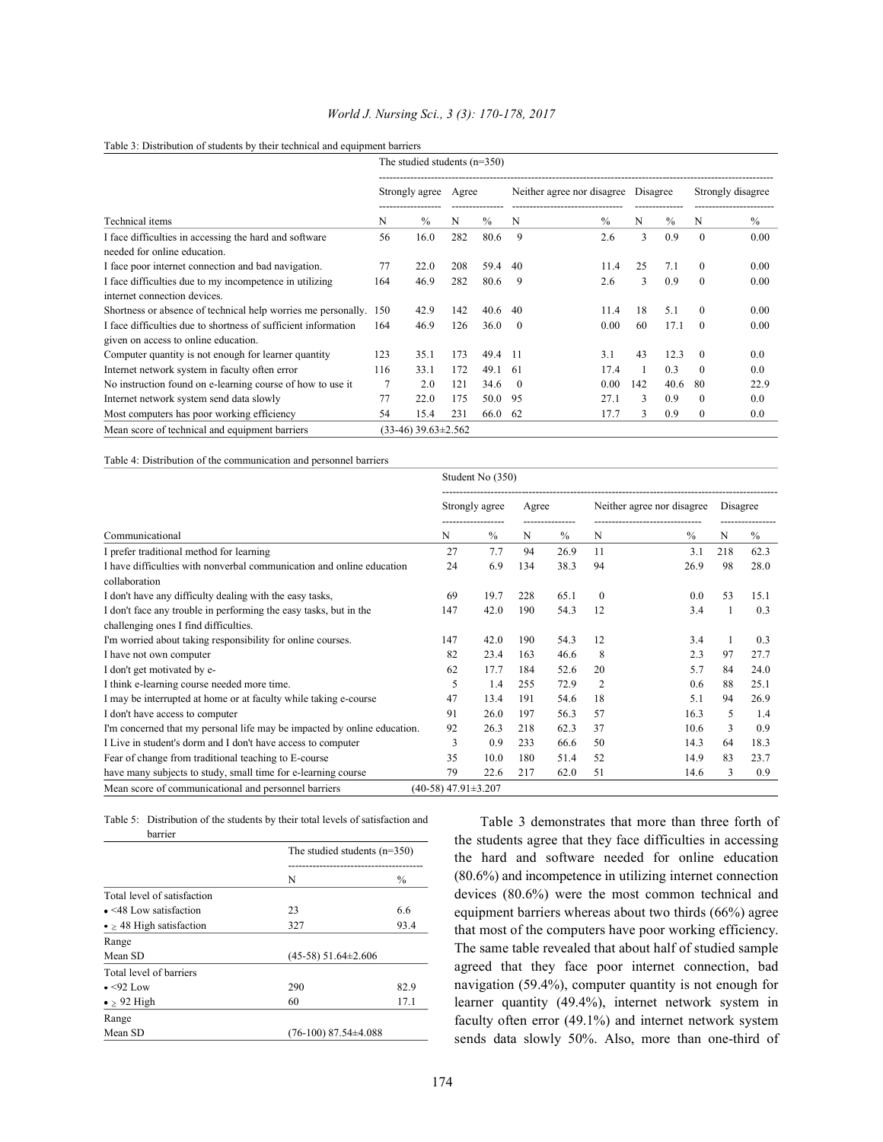|                                                                                        | The studied students $(n=350)$ |                             |     |               |                            |               |          |               |                   |      |
|----------------------------------------------------------------------------------------|--------------------------------|-----------------------------|-----|---------------|----------------------------|---------------|----------|---------------|-------------------|------|
|                                                                                        |                                | Strongly agree              |     | Agree         | Neither agree nor disagree |               | Disagree |               | Strongly disagree |      |
| Technical items                                                                        | N                              | $\frac{0}{0}$               | N   | $\frac{0}{0}$ | N                          | $\frac{0}{0}$ | N        | $\frac{0}{0}$ | N                 | $\%$ |
| I face difficulties in accessing the hard and software<br>needed for online education. | 56                             | 16.0                        | 282 | 80.6          | 9                          | 2.6           | 3        | 0.9           | $\theta$          | 0.00 |
| I face poor internet connection and bad navigation.                                    | 77                             | 22.0                        | 208 | 59.4          | 40                         | 11.4          | 25       | 7.1           | $\theta$          | 0.00 |
| I face difficulties due to my incompetence in utilizing                                | 164                            | 46.9                        | 282 | 80.6          | 9                          | 2.6           | 3        | 0.9           | $\theta$          | 0.00 |
| internet connection devices.                                                           |                                |                             |     |               |                            |               |          |               |                   |      |
| Shortness or absence of technical help worries me personally.                          | 150                            | 42.9                        | 142 | 40.6          | 40                         | 11.4          | 18       | 5.1           | $\theta$          | 0.00 |
| I face difficulties due to shortness of sufficient information                         | 164                            | 46.9                        | 126 | 36.0          | $\theta$                   | 0.00          | 60       | 17.1          | $\theta$          | 0.00 |
| given on access to online education.                                                   |                                |                             |     |               |                            |               |          |               |                   |      |
| Computer quantity is not enough for learner quantity                                   | 123                            | 35.1                        | 173 | 49.4          | -11                        | 3.1           | 43       | 12.3          | $\theta$          | 0.0  |
| Internet network system in faculty often error                                         | 116                            | 33.1                        | 172 | 49.1          | -61                        | 17.4          |          | 0.3           | $\Omega$          | 0.0  |
| No instruction found on e-learning course of how to use it                             |                                | 2.0                         | 121 | 34.6          | $\theta$                   | 0.00          | 142      | 40.6          | 80                | 22.9 |
| Internet network system send data slowly                                               | 77                             | 22.0                        | 175 | 50.0          | -95                        | 27.1          | 3        | 0.9           | $\theta$          | 0.0  |
| Most computers has poor working efficiency                                             | 54                             | 15.4                        | 231 | 66.0          | 62                         | 17.7          | 3        | 0.9           | $\mathbf{0}$      | 0.0  |
| Mean score of technical and equipment barriers                                         |                                | $(33-46)$ 39.63 $\pm$ 2.562 |     |               |                            |               |          |               |                   |      |

## *World J. Nursing Sci., 3 (3): 170-178, 2017*

# Table 3: Distribution of students by their technical and equipment barriers

Table 4: Distribution of the communication and personnel barriers

|                                                                                        | Student No (350)            |      |       |      |                            |      |          |      |
|----------------------------------------------------------------------------------------|-----------------------------|------|-------|------|----------------------------|------|----------|------|
|                                                                                        | Strongly agree              |      | Agree |      | Neither agree nor disagree |      | Disagree |      |
| Communicational                                                                        |                             | $\%$ | N     | $\%$ | N                          | $\%$ | N        | $\%$ |
| I prefer traditional method for learning                                               | 27                          | 7.7  | 94    | 26.9 | 11                         | 3.1  | 218      | 62.3 |
| I have difficulties with nonverbal communication and online education<br>collaboration | 24                          | 6.9  | 134   | 38.3 | 94                         | 26.9 | 98       | 28.0 |
| I don't have any difficulty dealing with the easy tasks,                               | 69                          | 19.7 | 228   | 65.1 | $\Omega$                   | 0.0  | 53       | 15.1 |
| I don't face any trouble in performing the easy tasks, but in the                      | 147                         | 42.0 | 190   | 54.3 | 12                         | 3.4  |          | 0.3  |
| challenging ones I find difficulties.                                                  |                             |      |       |      |                            |      |          |      |
| I'm worried about taking responsibility for online courses.                            | 147                         | 42.0 | 190   | 54.3 | 12                         | 3.4  |          | 0.3  |
| I have not own computer                                                                | 82                          | 23.4 | 163   | 46.6 | 8                          | 2.3  | 97       | 27.7 |
| I don't get motivated by e-                                                            | 62                          | 17.7 | 184   | 52.6 | 20                         | 5.7  | 84       | 24.0 |
| I think e-learning course needed more time.                                            | 5                           | 1.4  | 255   | 72.9 | 2                          | 0.6  | 88       | 25.1 |
| I may be interrupted at home or at faculty while taking e-course                       | 47                          | 13.4 | 191   | 54.6 | 18                         | 5.1  | 94       | 26.9 |
| I don't have access to computer                                                        | 91                          | 26.0 | 197   | 56.3 | 57                         | 16.3 | 5        | 1.4  |
| I'm concerned that my personal life may be impacted by online education.               | 92                          | 26.3 | 218   | 62.3 | 37                         | 10.6 | 3        | 0.9  |
| I Live in student's dorm and I don't have access to computer                           | 3                           | 0.9  | 233   | 66.6 | 50                         | 14.3 | 64       | 18.3 |
| Fear of change from traditional teaching to E-course                                   | 35                          | 10.0 | 180   | 51.4 | 52                         | 14.9 | 83       | 23.7 |
| have many subjects to study, small time for e-learning course                          | 79                          | 22.6 | 217   | 62.0 | 51                         | 14.6 | 3        | 0.9  |
| Mean score of communicational and personnel barriers                                   | $(40-58)$ 47.91 $\pm$ 3.207 |      |       |      |                            |      |          |      |

Table 5: Distribution of the students by their total levels of satisfaction and

| barrier                             |                                |               |  |  |
|-------------------------------------|--------------------------------|---------------|--|--|
|                                     | The studied students $(n=350)$ |               |  |  |
|                                     | N                              | $\frac{0}{0}$ |  |  |
| Total level of satisfaction         |                                |               |  |  |
| $\bullet$ <48 Low satisfaction      | 23                             | 6.6           |  |  |
| $\bullet \geq 48$ High satisfaction | 327                            | 93.4          |  |  |
| Range                               |                                |               |  |  |
| Mean SD                             | $(45-58)$ 51.64 $\pm$ 2.606    |               |  |  |
| Total level of barriers             |                                |               |  |  |
| $\bullet$ <92 Low                   | 290                            | 82.9          |  |  |
| $\bullet$ $\geq$ 92 High            | 60                             | 17.1          |  |  |
| Range                               |                                |               |  |  |
| Mean SD                             | $(76-100)$ 87.54 $\pm$ 4.088   |               |  |  |

Table 3 demonstrates that more than three forth of the students agree that they face difficulties in accessing the hard and software needed for online education (80.6%) and incompetence in utilizing internet connection devices (80.6%) were the most common technical and equipment barriers whereas about two thirds (66%) agree that most of the computers have poor working efficiency. The same table revealed that about half of studied sample agreed that they face poor internet connection, bad navigation (59.4%), computer quantity is not enough for learner quantity (49.4%), internet network system in faculty often error (49.1%) and internet network system sends data slowly 50%. Also, more than one-third of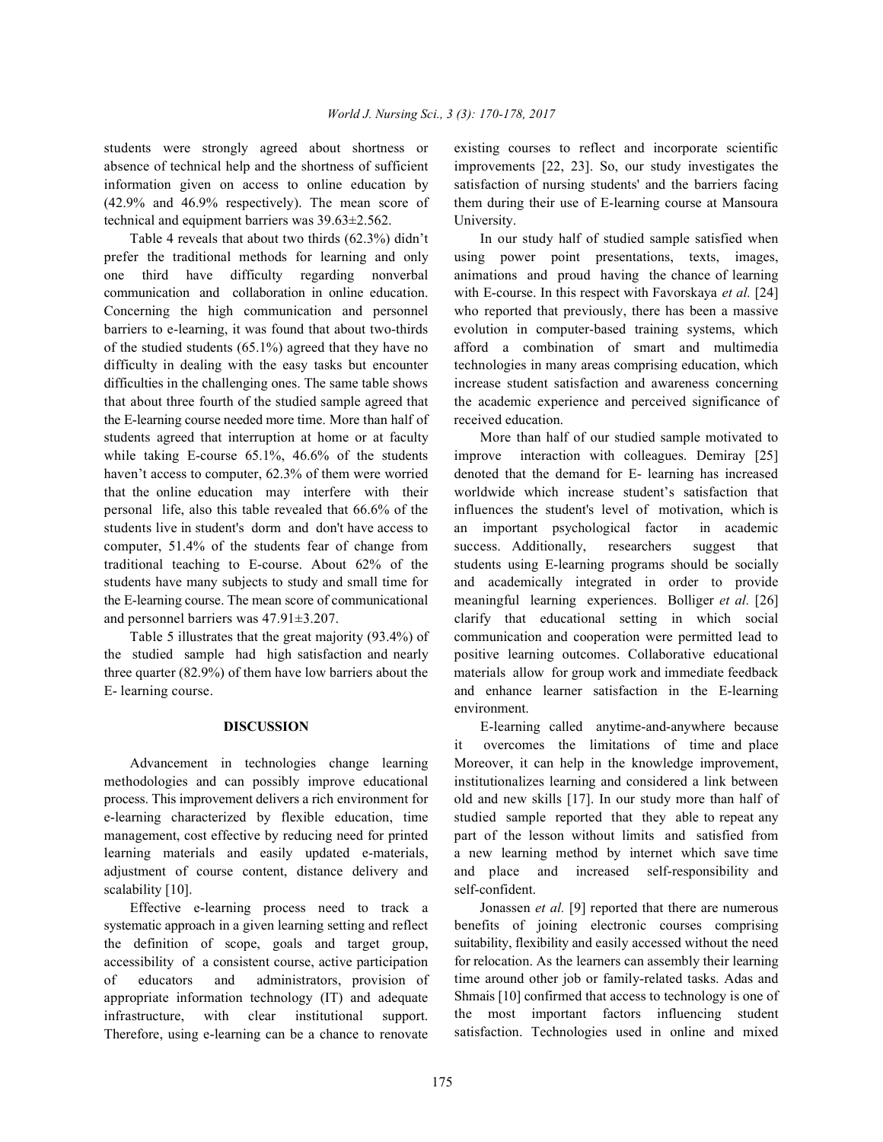students were strongly agreed about shortness or existing courses to reflect and incorporate scientific absence of technical help and the shortness of sufficient improvements [22, 23]. So, our study investigates the information given on access to online education by satisfaction of nursing students' and the barriers facing (42.9% and 46.9% respectively). The mean score of them during their use of E-learning course at Mansoura technical and equipment barriers was 39.63±2.562. University.

prefer the traditional methods for learning and only using power point presentations, texts, images, one third have difficulty regarding nonverbal animations and proud having the chance of learning communication and collaboration in online education. with E-course. In this respect with Favorskaya *et al.* [24] Concerning the high communication and personnel who reported that previously, there has been a massive barriers to e-learning, it was found that about two-thirds evolution in computer-based training systems, which of the studied students (65.1%) agreed that they have no afford a combination of smart and multimedia difficulty in dealing with the easy tasks but encounter technologies in many areas comprising education, which difficulties in the challenging ones. The same table shows increase student satisfaction and awareness concerning that about three fourth of the studied sample agreed that the academic experience and perceived significance of the E-learning course needed more time. More than half of received education. students agreed that interruption at home or at faculty More than half of our studied sample motivated to while taking E-course 65.1%, 46.6% of the students improve interaction with colleagues. Demiray [25] haven't access to computer, 62.3% of them were worried denoted that the demand for E- learning has increased that the online education may interfere with their worldwide which increase student's satisfaction that personal life, also this table revealed that 66.6% of the influences the student's level of motivation, which is students live in student's dorm and don't have access to an important psychological factor in academic computer, 51.4% of the students fear of change from success. Additionally, researchers suggest that traditional teaching to E-course. About 62% of the students using E-learning programs should be socially students have many subjects to study and small time for and academically integrated in order to provide the E-learning course. The mean score of communicational meaningful learning experiences. Bolliger *et al.* [26] and personnel barriers was 47.91±3.207. clarify that educational setting in which social

the studied sample had high satisfaction and nearly positive learning outcomes. Collaborative educational three quarter (82.9%) of them have low barriers about the materials allow for group work and immediate feedback E- learning course. and enhance learner satisfaction in the E-learning

methodologies and can possibly improve educational institutionalizes learning and considered a link between process. This improvement delivers a rich environment for old and new skills [17]. In our study more than half of e-learning characterized by flexible education, time studied sample reported that they able to repeat any management, cost effective by reducing need for printed part of the lesson without limits and satisfied from learning materials and easily updated e-materials, a new learning method by internet which save time adjustment of course content, distance delivery and and place and increased self-responsibility and scalability [10]. self-confident.

systematic approach in a given learning setting and reflect the definition of scope, goals and target group, accessibility of a consistent course, active participation of educators and administrators, provision of appropriate information technology (IT) and adequate infrastructure, with clear institutional support. Therefore, using e-learning can be a chance to renovate

Table 4 reveals that about two thirds (62.3%) didn't In our study half of studied sample satisfied when

Table 5 illustrates that the great majority (93.4%) of communication and cooperation were permitted lead to environment.

**DISCUSSION** E-learning called anytime-and-anywhere because Advancement in technologies change learning Moreover, it can help in the knowledge improvement, it overcomes the limitations of time and place

Effective e-learning process need to track a Jonassen *et al.* [9] reported that there are numerous benefits of joining electronic courses comprising suitability, flexibility and easily accessed without the need for relocation. As the learners can assembly their learning time around other job or family-related tasks. Adas and Shmais [10] confirmed that access to technology is one of the most important factors influencing student satisfaction. Technologies used in online and mixed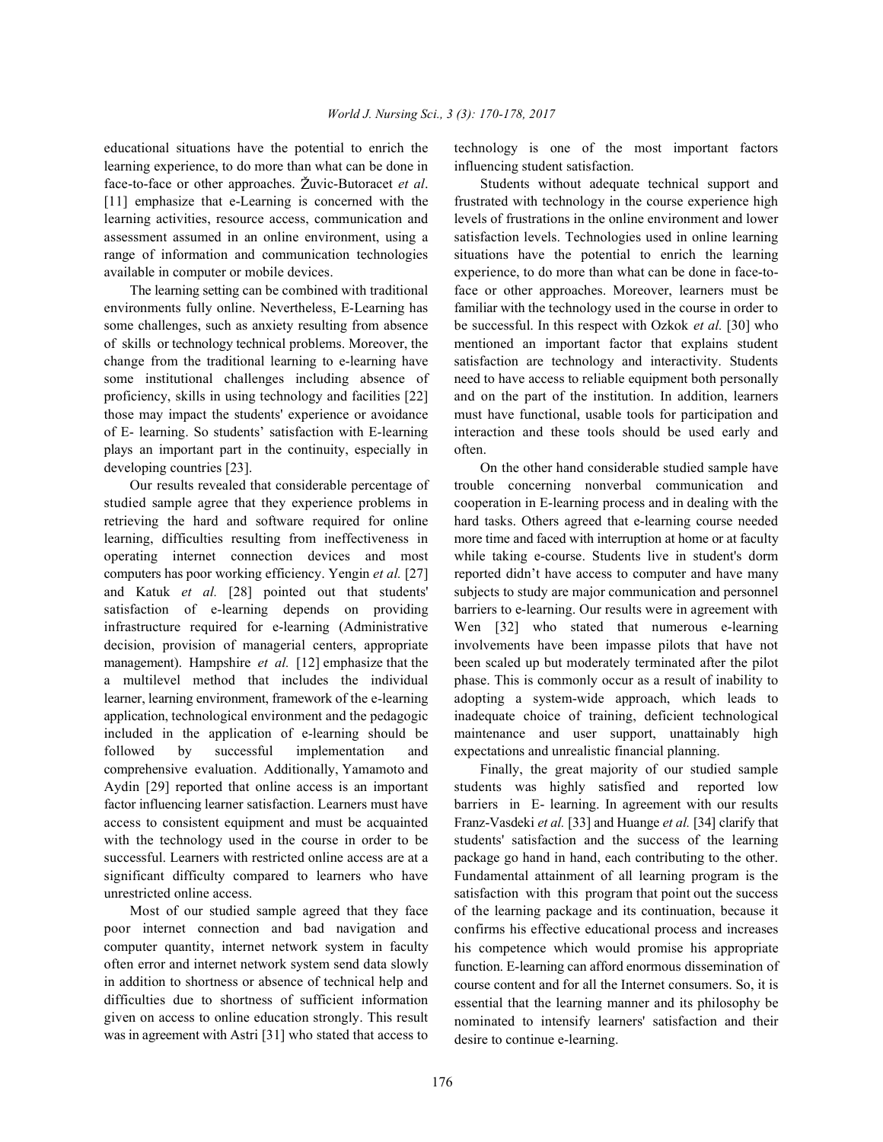learning experience, to do more than what can be done in influencing student satisfaction. face-to-face or other approaches. Žuvic-Butoracet *et al*. Students without adequate technical support and [11] emphasize that e-Learning is concerned with the frustrated with technology in the course experience high learning activities, resource access, communication and levels of frustrations in the online environment and lower assessment assumed in an online environment, using a satisfaction levels. Technologies used in online learning range of information and communication technologies situations have the potential to enrich the learning available in computer or mobile devices. experience, to do more than what can be done in face-to-

environments fully online. Nevertheless, E-Learning has familiar with the technology used in the course in order to some challenges, such as anxiety resulting from absence be successful. In this respect with Ozkok *et al.* [30] who of skills or technology technical problems. Moreover, the mentioned an important factor that explains student change from the traditional learning to e-learning have satisfaction are technology and interactivity. Students some institutional challenges including absence of need to have access to reliable equipment both personally proficiency, skills in using technology and facilities [22] and on the part of the institution. In addition, learners those may impact the students' experience or avoidance must have functional, usable tools for participation and of E- learning. So students' satisfaction with E-learning interaction and these tools should be used early and plays an important part in the continuity, especially in often. developing countries [23]. On the other hand considerable studied sample have

studied sample agree that they experience problems in cooperation in E-learning process and in dealing with the retrieving the hard and software required for online hard tasks. Others agreed that e-learning course needed learning, difficulties resulting from ineffectiveness in more time and faced with interruption at home or at faculty operating internet connection devices and most while taking e-course. Students live in student's dorm computers has poor working efficiency. Yengin *et al.* [27] reported didn't have access to computer and have many and Katuk *et al.* [28] pointed out that students' subjects to study are major communication and personnel satisfaction of e-learning depends on providing barriers to e-learning. Our results were in agreement with infrastructure required for e-learning (Administrative Wen [32] who stated that numerous e-learning decision, provision of managerial centers, appropriate involvements have been impasse pilots that have not management). Hampshire *et al.* [12] emphasize that the been scaled up but moderately terminated after the pilot a multilevel method that includes the individual phase. This is commonly occur as a result of inability to learner, learning environment, framework of the e-learning adopting a system-wide approach, which leads to application, technological environment and the pedagogic inadequate choice of training, deficient technological included in the application of e-learning should be maintenance and user support, unattainably high followed by successful implementation and expectations and unrealistic financial planning. comprehensive evaluation. Additionally, Yamamoto and Finally, the great majority of our studied sample Aydin [29] reported that online access is an important students was highly satisfied and reported low factor influencing learner satisfaction. Learners must have barriers in E- learning. In agreement with our results access to consistent equipment and must be acquainted Franz-Vasdeki *et al.* [33] and Huange *et al.* [34] clarify that with the technology used in the course in order to be students' satisfaction and the success of the learning successful. Learners with restricted online access are at a package go hand in hand, each contributing to the other. significant difficulty compared to learners who have Fundamental attainment of all learning program is the unrestricted online access. satisfaction with this program that point out the success

poor internet connection and bad navigation and computer quantity, internet network system in faculty often error and internet network system send data slowly in addition to shortness or absence of technical help and difficulties due to shortness of sufficient information given on access to online education strongly. This result was in agreement with Astri [31] who stated that access to

educational situations have the potential to enrich the technology is one of the most important factors

The learning setting can be combined with traditional face or other approaches. Moreover, learners must be

Our results revealed that considerable percentage of trouble concerning nonverbal communication and

Most of our studied sample agreed that they face of the learning package and its continuation, because it confirms his effective educational process and increases his competence which would promise his appropriate function. E-learning can afford enormous dissemination of course content and for all the Internet consumers. So, it is essential that the learning manner and its philosophy be nominated to intensify learners' satisfaction and their desire to continue e-learning.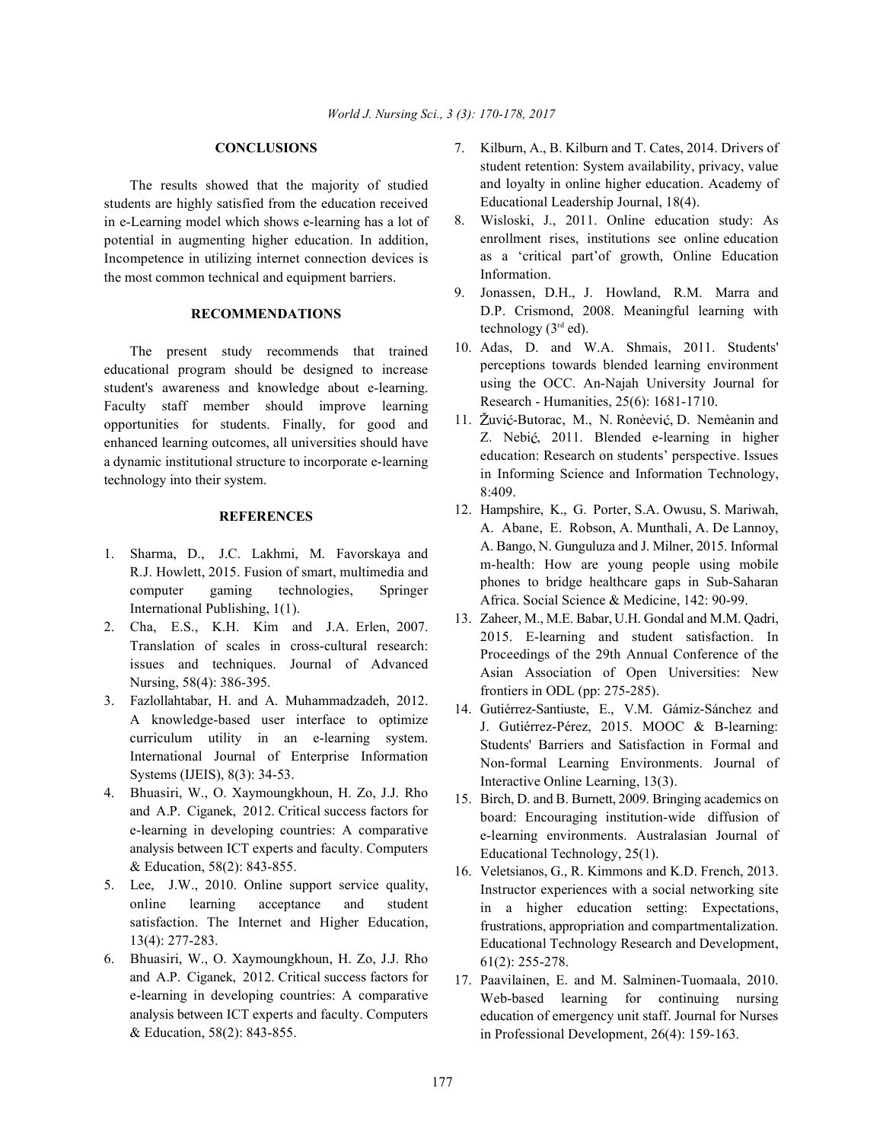The results showed that the majority of studied students are highly satisfied from the education received in e-Learning model which shows e-learning has a lot of potential in augmenting higher education. In addition, Incompetence in utilizing internet connection devices is the most common technical and equipment barriers.

## **RECOMMENDATIONS**

The present study recommends that trained educational program should be designed to increase student's awareness and knowledge about e-learning. Faculty staff member should improve learning opportunities for students. Finally, for good and enhanced learning outcomes, all universities should have a dynamic institutional structure to incorporate e-learning technology into their system.

# **REFERENCES**

- 1. Sharma, D., J.C. Lakhmi, M. Favorskaya and R.J. Howlett, 2015. Fusion of smart, multimedia and computer gaming technologies, Springer International Publishing, 1(1).
- 2. Cha, E.S., K.H. Kim and J.A. Erlen, 2007. Translation of scales in cross-cultural research: issues and techniques. Journal of Advanced Nursing, 58(4): 386-395.
- 3. Fazlollahtabar, H. and A. Muhammadzadeh, 2012. A knowledge-based user interface to optimize curriculum utility in an e-learning system. International Journal of Enterprise Information Systems (IJEIS), 8(3): 34-53.
- 4. Bhuasiri, W., O. Xaymoungkhoun, H. Zo, J.J. Rho and A.P. Ciganek, 2012. Critical success factors for e-learning in developing countries: A comparative analysis between ICT experts and faculty. Computers & Education, 58(2): 843-855.
- 5. Lee, J.W., 2010. Online support service quality, online learning acceptance and student satisfaction. The Internet and Higher Education, 13(4): 277-283.
- 6. Bhuasiri, W., O. Xaymoungkhoun, H. Zo, J.J. Rho and A.P. Ciganek, 2012. Critical success factors for e-learning in developing countries: A comparative analysis between ICT experts and faculty. Computers & Education, 58(2): 843-855.
- **CONCLUSIONS** 7. Kilburn, A., B. Kilburn and T. Cates, 2014. Drivers of student retention: System availability, privacy, value and loyalty in online higher education. Academy of Educational Leadership Journal, 18(4).
	- 8. Wisloski, J., 2011. Online education study: As enrollment rises, institutions see online education as a 'critical part'of growth, Online Education Information.
	- 9. Jonassen, D.H., J. Howland, R.M. Marra and D.P. Crismond, 2008. Meaningful learning with technology  $(3<sup>rd</sup>$ ed).
	- 10. Adas, D. and W.A. Shmais, 2011. Students' perceptions towards blended learning environment using the OCC. An-Najah University Journal for Research - Humanities, 25(6): 1681-1710.
	- 11. Žuvić-Butorac, M., N. Ronèević, D. Nemèanin and Z. Nebić, 2011. Blended e-learning in higher education: Research on students' perspective. Issues in Informing Science and Information Technology, 8:409.
	- 12. Hampshire, K., G. Porter, S.A. Owusu, S. Mariwah, A. Abane, E. Robson, A. Munthali, A. De Lannoy, A. Bango, N. Gunguluza and J. Milner, 2015. Informal m-health: How are young people using mobile phones to bridge healthcare gaps in Sub-Saharan Africa. Social Science & Medicine, 142: 90-99.
	- 13. Zaheer, M., M.E. Babar, U.H. Gondal and M.M. Qadri, 2015. E-learning and student satisfaction. In Proceedings of the 29th Annual Conference of the Asian Association of Open Universities: New frontiers in ODL (pp: 275-285).
	- 14. Gutiérrez-Santiuste, E., V.M. Gámiz-Sánchez and J. Gutiérrez-Pérez, 2015. MOOC & B-learning: Students' Barriers and Satisfaction in Formal and Non-formal Learning Environments. Journal of Interactive Online Learning, 13(3).
	- 15. Birch, D. and B. Burnett, 2009. Bringing academics on board: Encouraging institution-wide diffusion of e-learning environments. Australasian Journal of Educational Technology, 25(1).
	- 16. Veletsianos, G., R. Kimmons and K.D. French, 2013. Instructor experiences with a social networking site in a higher education setting: Expectations, frustrations, appropriation and compartmentalization. Educational Technology Research and Development, 61(2): 255-278.
	- 17. Paavilainen, E. and M. Salminen-Tuomaala, 2010. Web-based learning for continuing nursing education of emergency unit staff. Journal for Nurses in Professional Development, 26(4): 159-163.